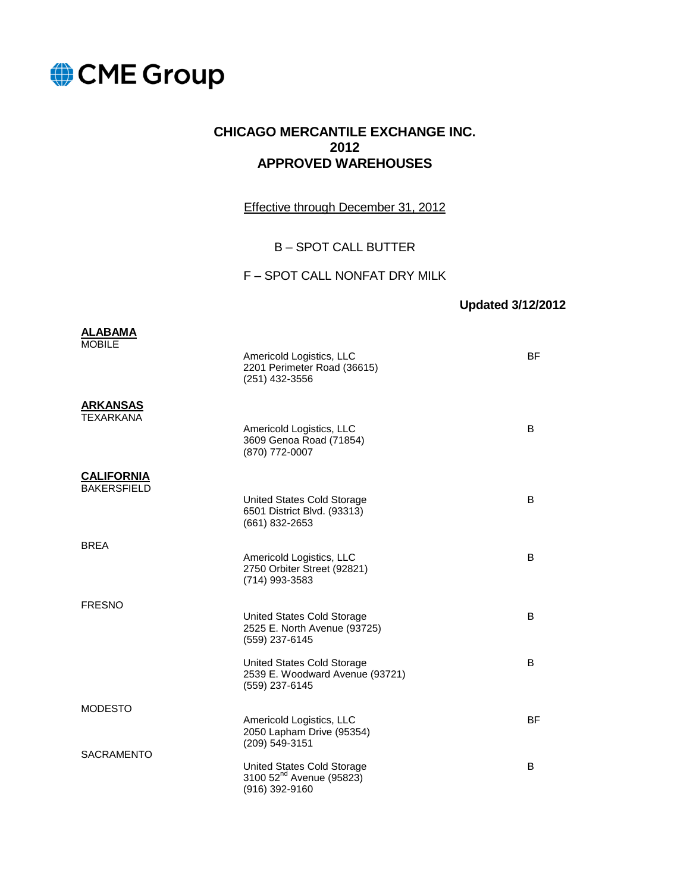

#### **CHICAGO MERCANTILE EXCHANGE INC. 2012 APPROVED WAREHOUSES**

Effective through December 31, 2012

#### B – SPOT CALL BUTTER

#### F – SPOT CALL NONFAT DRY MILK

#### **Updated 3/12/2012**

| <b>ALABAMA</b>                          |                                                                                      |           |
|-----------------------------------------|--------------------------------------------------------------------------------------|-----------|
| <b>MOBILE</b>                           | Americold Logistics, LLC<br>2201 Perimeter Road (36615)<br>(251) 432-3556            | <b>BF</b> |
| <b>ARKANSAS</b><br><b>TEXARKANA</b>     | Americold Logistics, LLC<br>3609 Genoa Road (71854)<br>(870) 772-0007                | B         |
| <b>CALIFORNIA</b><br><b>BAKERSFIELD</b> |                                                                                      |           |
|                                         | United States Cold Storage<br>6501 District Blvd. (93313)<br>(661) 832-2653          | B         |
| <b>BREA</b>                             |                                                                                      | B         |
|                                         | Americold Logistics, LLC<br>2750 Orbiter Street (92821)<br>(714) 993-3583            |           |
| <b>FRESNO</b>                           |                                                                                      |           |
|                                         | United States Cold Storage<br>2525 E. North Avenue (93725)<br>(559) 237-6145         | B         |
|                                         | United States Cold Storage<br>2539 E. Woodward Avenue (93721)<br>(559) 237-6145      | B         |
| <b>MODESTO</b>                          |                                                                                      |           |
|                                         | Americold Logistics, LLC<br>2050 Lapham Drive (95354)<br>(209) 549-3151              | <b>BF</b> |
| <b>SACRAMENTO</b>                       | United States Cold Storage<br>3100 52 <sup>nd</sup> Avenue (95823)<br>(916) 392-9160 | B         |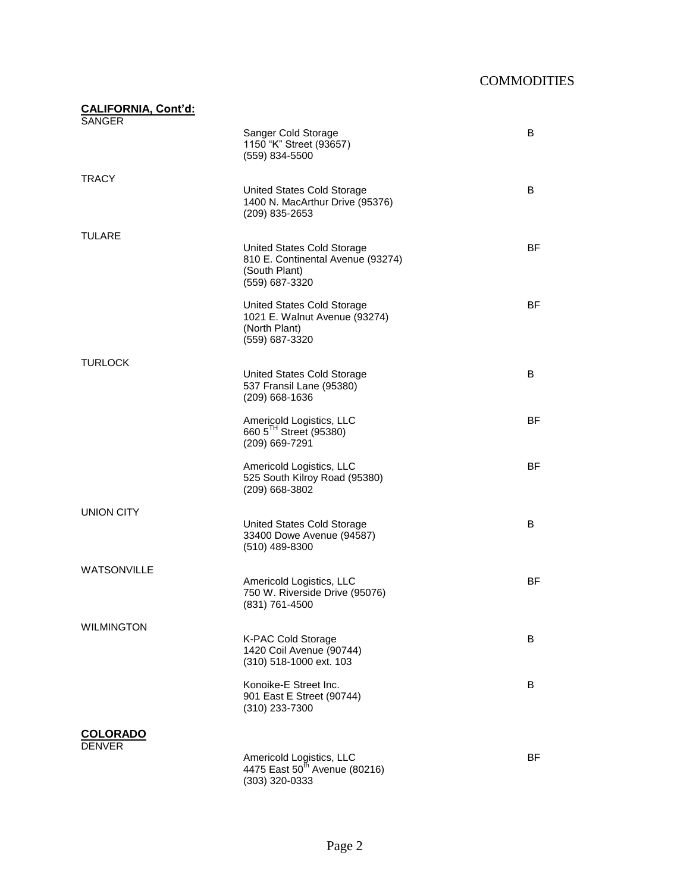| <b>CALIFORNIA, Cont'd:</b><br><b>SANGER</b> |                                                                                                    |    |
|---------------------------------------------|----------------------------------------------------------------------------------------------------|----|
|                                             | Sanger Cold Storage<br>1150 "K" Street (93657)<br>(559) 834-5500                                   | B  |
| TRACY                                       |                                                                                                    |    |
|                                             | United States Cold Storage<br>1400 N. MacArthur Drive (95376)<br>(209) 835-2653                    | B  |
| TULARE                                      |                                                                                                    |    |
|                                             | United States Cold Storage<br>810 E. Continental Avenue (93274)<br>(South Plant)<br>(559) 687-3320 | BF |
|                                             | United States Cold Storage<br>1021 E. Walnut Avenue (93274)<br>(North Plant)<br>(559) 687-3320     | BF |
| TURLOCK                                     |                                                                                                    |    |
|                                             | United States Cold Storage<br>537 Fransil Lane (95380)<br>(209) 668-1636                           | B  |
|                                             | Americold Logistics, LLC<br>660 5 <sup>TH</sup> Street (95380)<br>(209) 669-7291                   | BF |
|                                             | Americold Logistics, LLC<br>525 South Kilroy Road (95380)<br>(209) 668-3802                        | BF |
| <b>UNION CITY</b>                           |                                                                                                    |    |
|                                             | United States Cold Storage<br>33400 Dowe Avenue (94587)<br>(510) 489-8300                          | B  |
| <b>WATSONVILLE</b>                          |                                                                                                    |    |
|                                             | Americold Logistics, LLC<br>750 W. Riverside Drive (95076)<br>(831) 761-4500                       | BF |
| <b>WILMINGTON</b>                           |                                                                                                    |    |
|                                             | <b>K-PAC Cold Storage</b><br>1420 Coil Avenue (90744)<br>(310) 518-1000 ext. 103                   | B  |
|                                             | Konoike-E Street Inc.<br>901 East E Street (90744)<br>(310) 233-7300                               | В  |
| <u>COLORADO</u>                             |                                                                                                    |    |
| <b>DENVER</b>                               |                                                                                                    |    |
|                                             | Americold Logistics, LLC<br>4475 East 50 <sup>th</sup> Avenue (80216)<br>(303) 320-0333            | BF |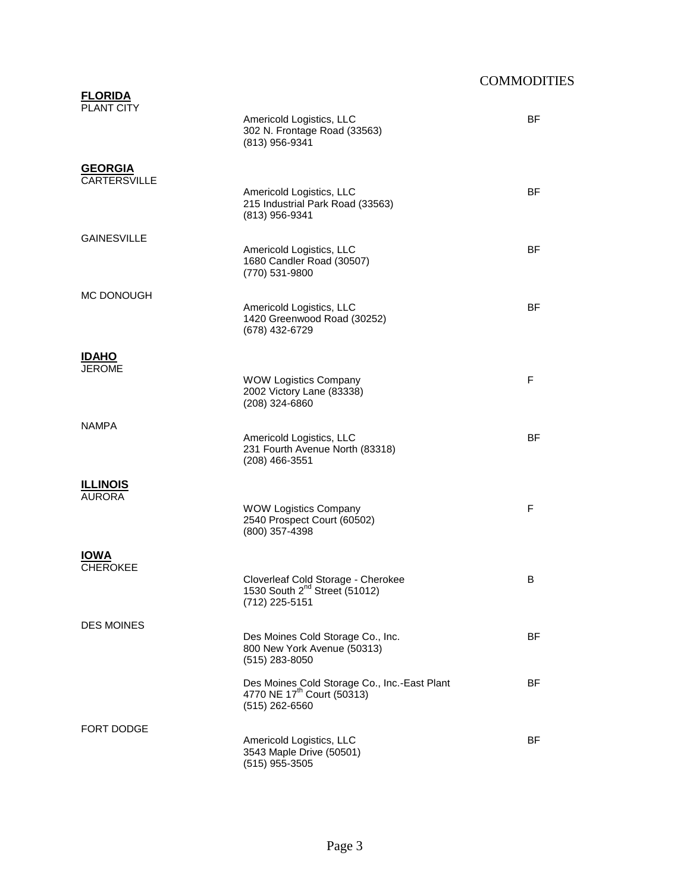| <b>FLORIDA</b><br><b>PLANT CITY</b> |                                                                                                          |           |
|-------------------------------------|----------------------------------------------------------------------------------------------------------|-----------|
|                                     | Americold Logistics, LLC<br>302 N. Frontage Road (33563)<br>(813) 956-9341                               | <b>BF</b> |
| <b>GEORGIA</b>                      |                                                                                                          |           |
| <b>CARTERSVILLE</b>                 | Americold Logistics, LLC<br>215 Industrial Park Road (33563)<br>(813) 956-9341                           | <b>BF</b> |
| <b>GAINESVILLE</b>                  |                                                                                                          |           |
|                                     | Americold Logistics, LLC<br>1680 Candler Road (30507)<br>(770) 531-9800                                  | <b>BF</b> |
| MC DONOUGH                          |                                                                                                          |           |
|                                     | Americold Logistics, LLC<br>1420 Greenwood Road (30252)<br>(678) 432-6729                                | <b>BF</b> |
| <u>IDAHO</u>                        |                                                                                                          |           |
| <b>JEROME</b>                       | <b>WOW Logistics Company</b>                                                                             | F         |
|                                     | 2002 Victory Lane (83338)<br>(208) 324-6860                                                              |           |
| <b>NAMPA</b>                        |                                                                                                          |           |
|                                     | Americold Logistics, LLC<br>231 Fourth Avenue North (83318)<br>$(208)$ 466-3551                          | <b>BF</b> |
| <b>ILLINOIS</b>                     |                                                                                                          |           |
| <b>AURORA</b>                       | <b>WOW Logistics Company</b>                                                                             | F         |
|                                     | 2540 Prospect Court (60502)<br>(800) 357-4398                                                            |           |
| <b>IOWA</b>                         |                                                                                                          |           |
| <b>CHEROKEE</b>                     | Cloverleaf Cold Storage - Cherokee                                                                       | B         |
|                                     | 1530 South 2 <sup>nd</sup> Street (51012)<br>(712) 225-5151                                              |           |
| <b>DES MOINES</b>                   |                                                                                                          |           |
|                                     | Des Moines Cold Storage Co., Inc.<br>800 New York Avenue (50313)<br>$(515)$ 283-8050                     | BF        |
|                                     | Des Moines Cold Storage Co., Inc.-East Plant<br>4770 NE 17 <sup>th</sup> Court (50313)<br>(515) 262-6560 | BF        |
| <b>FORT DODGE</b>                   |                                                                                                          |           |
|                                     | Americold Logistics, LLC<br>3543 Maple Drive (50501)<br>(515) 955-3505                                   | <b>BF</b> |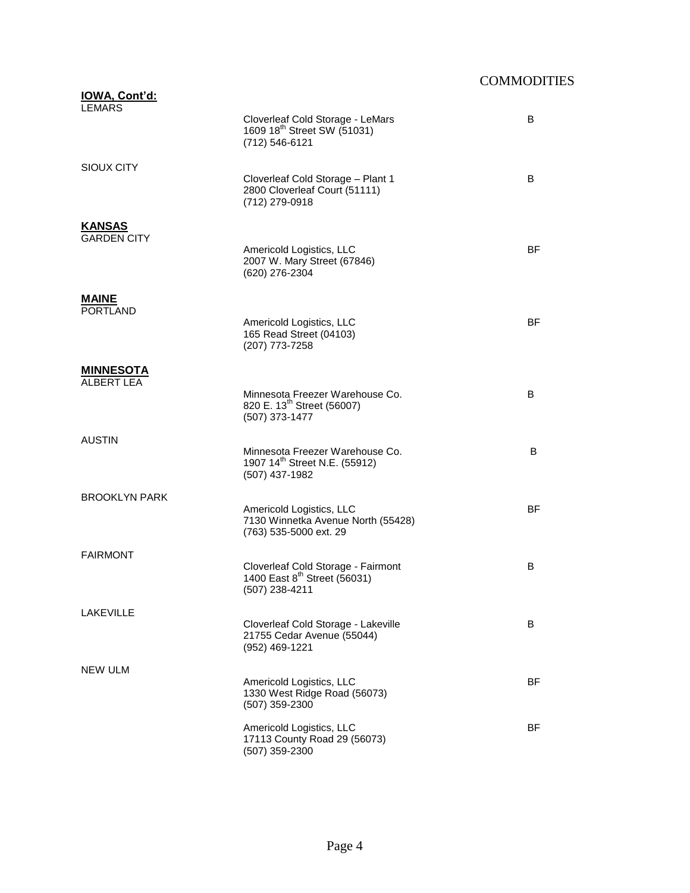| <u>IOWA, Cont'd:</u><br><b>LEMARS</b> |                                                                                                  |           |
|---------------------------------------|--------------------------------------------------------------------------------------------------|-----------|
|                                       | Cloverleaf Cold Storage - LeMars<br>1609 18 <sup>th</sup> Street SW (51031)<br>(712) 546-6121    | B         |
| SIOUX CITY                            |                                                                                                  |           |
|                                       | Cloverleaf Cold Storage - Plant 1<br>2800 Cloverleaf Court (51111)<br>(712) 279-0918             | B         |
| <b>KANSAS</b>                         |                                                                                                  |           |
| <b>GARDEN CITY</b>                    | Americold Logistics, LLC<br>2007 W. Mary Street (67846)<br>(620) 276-2304                        | <b>BF</b> |
| <b>MAINE</b>                          |                                                                                                  |           |
| <b>PORTLAND</b>                       |                                                                                                  |           |
|                                       | Americold Logistics, LLC<br>165 Read Street (04103)<br>(207) 773-7258                            | BF        |
| <b>MINNESOTA</b>                      |                                                                                                  |           |
| <b>ALBERT LEA</b>                     | Minnesota Freezer Warehouse Co.                                                                  | B         |
|                                       | 820 E. 13 <sup>th</sup> Street (56007)<br>(507) 373-1477                                         |           |
| AUSTIN                                |                                                                                                  |           |
|                                       | Minnesota Freezer Warehouse Co.<br>1907 14 <sup>th</sup> Street N.E. (55912)<br>(507) 437-1982   | B         |
| <b>BROOKLYN PARK</b>                  |                                                                                                  |           |
|                                       | Americold Logistics, LLC<br>7130 Winnetka Avenue North (55428)<br>(763) 535-5000 ext. 29         | <b>BF</b> |
| <b>FAIRMONT</b>                       |                                                                                                  |           |
|                                       | Cloverleaf Cold Storage - Fairmont<br>1400 East 8 <sup>th</sup> Street (56031)<br>(507) 238-4211 | B         |
| LAKEVILLE                             |                                                                                                  |           |
|                                       | Cloverleaf Cold Storage - Lakeville<br>21755 Cedar Avenue (55044)<br>(952) 469-1221              | B         |
| NEW ULM                               |                                                                                                  |           |
|                                       | Americold Logistics, LLC<br>1330 West Ridge Road (56073)<br>(507) 359-2300                       | BF        |
|                                       | Americold Logistics, LLC<br>17113 County Road 29 (56073)<br>(507) 359-2300                       | BF        |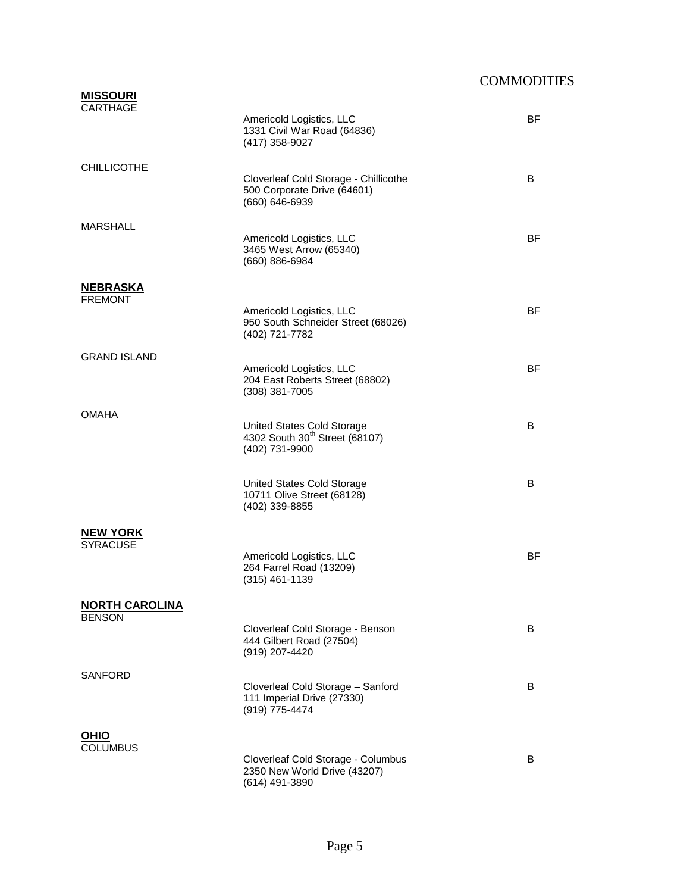| <b>MISSOURI</b><br>CARTHAGE            |                                                                                            |           |
|----------------------------------------|--------------------------------------------------------------------------------------------|-----------|
|                                        | Americold Logistics, LLC<br>1331 Civil War Road (64836)<br>(417) 358-9027                  | <b>BF</b> |
| <b>CHILLICOTHE</b>                     | Cloverleaf Cold Storage - Chillicothe<br>500 Corporate Drive (64601)<br>(660) 646-6939     | B         |
| <b>MARSHALL</b>                        | Americold Logistics, LLC<br>3465 West Arrow (65340)<br>(660) 886-6984                      | ΒF        |
| <b>NEBRASKA</b>                        |                                                                                            |           |
| <b>FREMONT</b>                         | Americold Logistics, LLC<br>950 South Schneider Street (68026)<br>(402) 721-7782           | <b>BF</b> |
| <b>GRAND ISLAND</b>                    | Americold Logistics, LLC<br>204 East Roberts Street (68802)                                | <b>BF</b> |
|                                        | (308) 381-7005                                                                             |           |
| <b>OMAHA</b>                           | United States Cold Storage<br>4302 South 30 <sup>th</sup> Street (68107)<br>(402) 731-9900 | B         |
|                                        | United States Cold Storage<br>10711 Olive Street (68128)<br>(402) 339-8855                 | B         |
| <b>NEW YORK</b><br><b>SYRACUSE</b>     | Americold Logistics, LLC<br>264 Farrel Road (13209)<br>(315) 461-1139                      | ΒF        |
| <b>NORTH CAROLINA</b><br><b>BENSON</b> |                                                                                            |           |
|                                        | Cloverleaf Cold Storage - Benson<br>444 Gilbert Road (27504)<br>(919) 207-4420             | B         |
| SANFORD                                | Cloverleaf Cold Storage - Sanford<br>111 Imperial Drive (27330)<br>(919) 775-4474          | B         |
| <b>OHIO</b>                            |                                                                                            |           |
| <b>COLUMBUS</b>                        | Cloverleaf Cold Storage - Columbus<br>2350 New World Drive (43207)<br>(614) 491-3890       | B         |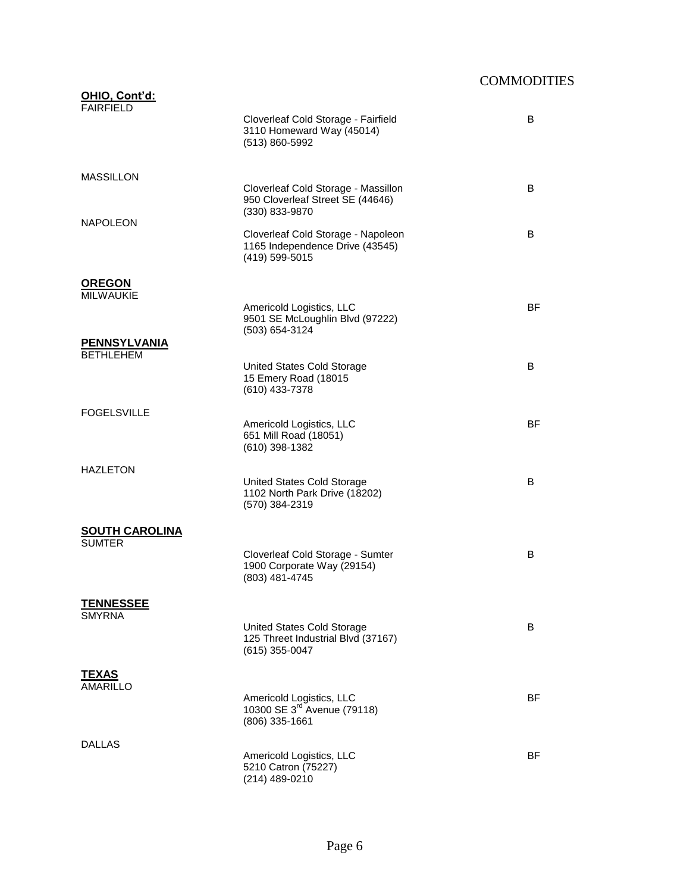| <u> OHIO, Cont'd:</u><br><b>FAIRFIELD</b> |                                                                                           |           |
|-------------------------------------------|-------------------------------------------------------------------------------------------|-----------|
|                                           | Cloverleaf Cold Storage - Fairfield<br>3110 Homeward Way (45014)<br>(513) 860-5992        | B         |
| <b>MASSILLON</b>                          |                                                                                           |           |
|                                           | Cloverleaf Cold Storage - Massillon<br>950 Cloverleaf Street SE (44646)<br>(330) 833-9870 | B         |
| <b>NAPOLEON</b>                           | Cloverleaf Cold Storage - Napoleon<br>1165 Independence Drive (43545)<br>(419) 599-5015   | B         |
| <b>OREGON</b><br><b>MILWAUKIE</b>         |                                                                                           |           |
|                                           | Americold Logistics, LLC<br>9501 SE McLoughlin Blvd (97222)<br>(503) 654-3124             | <b>BF</b> |
| <b>PENNSYLVANIA</b><br><b>BETHLEHEM</b>   |                                                                                           |           |
|                                           | United States Cold Storage<br>15 Emery Road (18015<br>(610) 433-7378                      | B         |
| <b>FOGELSVILLE</b>                        |                                                                                           |           |
|                                           | Americold Logistics, LLC<br>651 Mill Road (18051)<br>(610) 398-1382                       | <b>BF</b> |
| <b>HAZLETON</b>                           | United States Cold Storage                                                                | B         |
|                                           | 1102 North Park Drive (18202)<br>(570) 384-2319                                           |           |
| <u>SOUTH CAROLINA</u><br><b>SUMTER</b>    |                                                                                           |           |
|                                           | Cloverleaf Cold Storage - Sumter<br>1900 Corporate Way (29154)<br>(803) 481-4745          | B         |
| <u>TENNESSEE</u>                          |                                                                                           |           |
| <b>SMYRNA</b>                             | United States Cold Storage<br>125 Threet Industrial Blvd (37167)<br>$(615)$ 355-0047      | B         |
| <b>TEXAS</b>                              |                                                                                           |           |
| <b>AMARILLO</b>                           | Americold Logistics, LLC<br>10300 SE 3 <sup>rd</sup> Avenue (79118)<br>(806) 335-1661     | <b>BF</b> |
| DALLAS                                    |                                                                                           |           |
|                                           | Americold Logistics, LLC<br>5210 Catron (75227)<br>(214) 489-0210                         | BF        |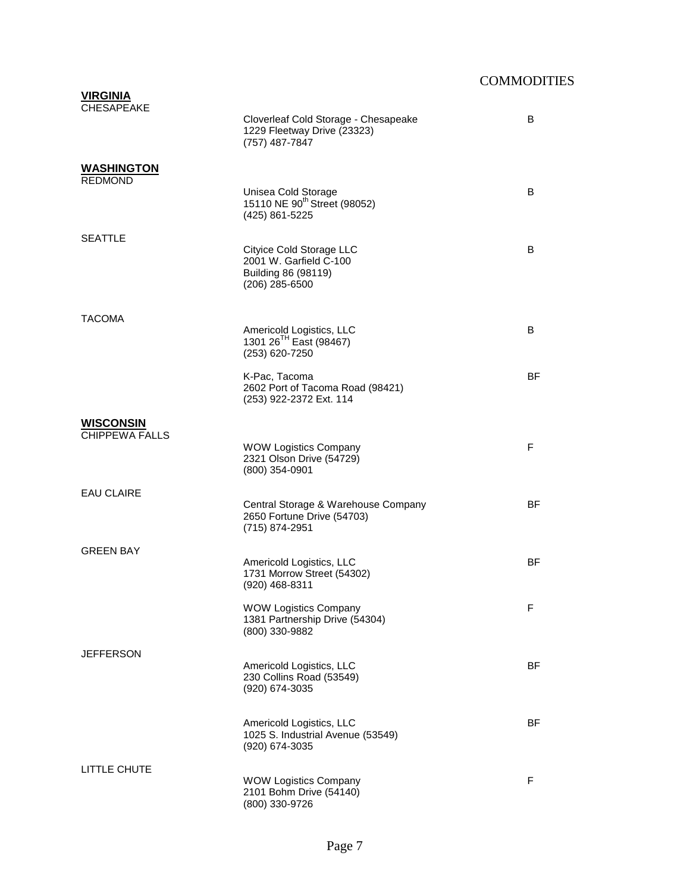| <b>VIRGINIA</b><br><b>CHESAPEAKE</b>      | Cloverleaf Cold Storage - Chesapeake<br>1229 Fleetway Drive (23323)<br>(757) 487-7847       | B         |
|-------------------------------------------|---------------------------------------------------------------------------------------------|-----------|
| <b>WASHINGTON</b><br><b>REDMOND</b>       | Unisea Cold Storage<br>15110 NE 90 <sup>th</sup> Street (98052)<br>(425) 861-5225           | B         |
| <b>SEATTLE</b>                            | Cityice Cold Storage LLC<br>2001 W. Garfield C-100<br>Building 86 (98119)<br>(206) 285-6500 | B         |
| <b>TACOMA</b>                             | Americold Logistics, LLC<br>1301 26 <sup>TH</sup> East (98467)<br>(253) 620-7250            | B         |
|                                           | K-Pac, Tacoma<br>2602 Port of Tacoma Road (98421)<br>(253) 922-2372 Ext. 114                | <b>BF</b> |
| <b>WISCONSIN</b><br><b>CHIPPEWA FALLS</b> | <b>WOW Logistics Company</b><br>2321 Olson Drive (54729)<br>(800) 354-0901                  | F         |
| <b>EAU CLAIRE</b>                         | Central Storage & Warehouse Company<br>2650 Fortune Drive (54703)<br>(715) 874-2951         | <b>BF</b> |
| <b>GREEN BAY</b>                          | Americold Logistics, LLC<br>1731 Morrow Street (54302)<br>(920) 468-8311                    | ΒF        |
|                                           | <b>WOW Logistics Company</b><br>1381 Partnership Drive (54304)<br>(800) 330-9882            | F         |
| <b>JEFFERSON</b>                          | Americold Logistics, LLC<br>230 Collins Road (53549)<br>(920) 674-3035                      | ΒF        |
|                                           | Americold Logistics, LLC<br>1025 S. Industrial Avenue (53549)<br>(920) 674-3035             | ΒF        |
| LITTLE CHUTE                              | <b>WOW Logistics Company</b><br>2101 Bohm Drive (54140)<br>(800) 330-9726                   | F         |